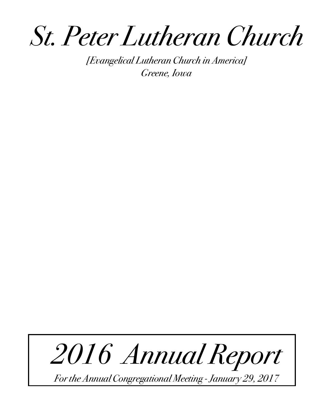*St. Peter Lutheran Church*

*[Evangelical Lutheran Church in America] Greene, Iowa* 



*For the Annual Congregational Meeting - January 29, 2017*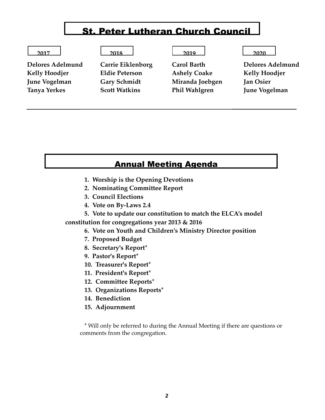# St. Peter Lutheran Church Council

| 2017<br>.<br>_____ | 2018 | 2010<br>_____ | 2020<br>___ |
|--------------------|------|---------------|-------------|
|--------------------|------|---------------|-------------|

Kelly Hoodjer **Eldie Peterson** Ashely Coake Kelly Hoodjer **June Vogelman Gary Schmidt Miranda Joebgen Jan Osier Tanya Yerkes Scott Watkins Phil Wahlgren June Vogelman**

**Delores Adelmund Carrie Eiklenborg Carol Barth Delores Adelmund** 

## Annual Meeting Agenda

- **1. Worship is the Opening Devotions**
- **2. Nominating Committee Report**
- **3. Council Elections**
- **4. Vote on By-Laws 2.4**
- **5. Vote to update our constitution to match the ELCA's model**

**constitution for congregations year 2013 & 2016**

- **6. Vote on Youth and Children's Ministry Director position**
- **7. Proposed Budget**
- **8. Secretary's Report\***
- **9. Pastor's Report\***
- **10. Treasurer's Report\***
- **11. President's Report\***
- **12. Committee Reports\***
- **13. Organizations Reports\***
- **14. Benediction**
- **15. Adjournment**

\* Will only be referred to during the Annual Meeting if there are questions or comments from the congregation.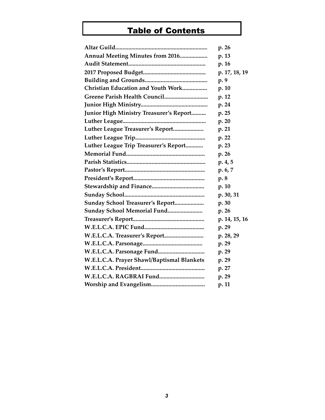# Table of Contents

|                                            | p. 26         |
|--------------------------------------------|---------------|
| Annual Meeting Minutes from 2016           | p. 13         |
|                                            | p. 16         |
|                                            | p. 17, 18, 19 |
|                                            | p. 9          |
| Christian Education and Youth Work         | p. 10         |
|                                            | p. 12         |
|                                            | p. 24         |
| Junior High Ministry Treasurer's Report    | p. 25         |
|                                            | p. 20         |
| Luther League Treasurer's Report           | p. 21         |
|                                            | p. 22         |
| Luther League Trip Treasurer's Report      | p. 23         |
|                                            | p. 26         |
|                                            | p.4, 5        |
|                                            | p.6, 7        |
|                                            | p. 8          |
|                                            | p. 10         |
|                                            | p. 30, 31     |
| <b>Sunday School Treasurer's Report</b>    | p. 30         |
| Sunday School Memorial Fund                | p. 26         |
|                                            | p. 14, 15, 16 |
|                                            | p. 29         |
|                                            | p. 28, 29     |
|                                            | p. 29         |
|                                            | p. 29         |
| W.E.L.C.A. Prayer Shawl/Baptismal Blankets | p. 29         |
|                                            | p. 27         |
|                                            | p. 29         |
|                                            | p. 11         |
|                                            |               |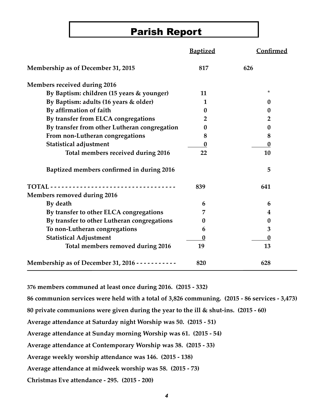# Parish Report

|                                                          | <b>Baptized</b>  | Confirmed        |
|----------------------------------------------------------|------------------|------------------|
| Membership as of December 31, 2015                       | 817              | 626              |
| <b>Members received during 2016</b>                      |                  |                  |
| By Baptism: children (15 years & younger)                | 11               | $^\star$         |
| By Baptism: adults (16 years & older)                    | 1                | $\bf{0}$         |
| By affirmation of faith                                  | 0                | $\bf{0}$         |
| By transfer from ELCA congregations                      | 2                | $\overline{2}$   |
| By transfer from other Lutheran congregation             | 0                | 0                |
| From non-Lutheran congregations                          | 8                | 8                |
| <b>Statistical adjustment</b>                            | 0                | $\boldsymbol{0}$ |
| Total members received during 2016                       | 22               | 10               |
| Baptized members confirmed in during 2016                |                  | 5                |
| <b>TOTAL</b> - - - - - - - - - -                         | 839              | 641              |
| Members removed during 2016                              |                  |                  |
| By death                                                 | 6                | 6                |
| By transfer to other ELCA congregations                  | 7                | 4                |
| By transfer to other Lutheran congregations              | 0                | $\bf{0}$         |
| To non-Lutheran congregations                            | 6                | 3                |
| <b>Statistical Adjustment</b>                            | $\boldsymbol{0}$ | $\boldsymbol{0}$ |
| Total members removed during 2016                        | 19               | 13               |
| Membership as of December 31, 2016 - - - - - - - - - - - | 820              | 628              |

**376 members communed at least once during 2016. (2015 - 332)**

**86 communion services were held with a total of 3,826 communing. (2015 - 86 services - 3,473)**

**80 private communions were given during the year to the ill & shut-ins. (2015 - 60)**

**Average attendance at Saturday night Worship was 50. (2015 - 51)**

**Average attendance at Sunday morning Worship was 61. (2015 - 54)**

**Average attendance at Contemporary Worship was 38. (2015 - 33)**

**Average weekly worship attendance was 146. (2015 - 138)** 

**Average attendance at midweek worship was 58. (2015 - 73)**

**Christmas Eve attendance - 295. (2015 - 200)**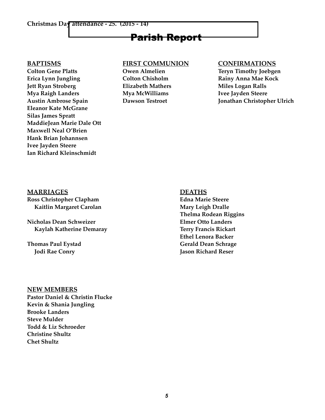#### **Christmas Day attendance - 25. (2015 - 14)**

# Parish Report

Colton Gene Platts **Owen Almelien** Teryn Timothy Joebgen **Erica Lynn Jungling Colton Chisholm Rainy Anna Mae Kock Jett Ryan Stroberg <b>Flizabeth Mathers** Miles Logan Ralls **Mya Raigh Landers Mya McWilliams Ivee Jayden Steere Eleanor Kate McGrane Silas James Spratt MaddieJean Marie Dale Ott Maxwell Neal O'Brien Hank Brian Johannsen Ivee Jayden Steere Ian Richard Kleinschmidt**

### **BAPTISMS FIRST COMMUNION CONFIRMATIONS**

**Austin Ambrose Spain Dawson Testroet Jonathan Christopher Ulrich**

#### **MARRIAGES** DEATHS

**Ross Christopher Clapham Edna Marie Steere Kaitlin Margaret Carolan Mary Leigh Dralle** 

**Nicholas Dean Schweizer Elmer Otto Landers Kaylah Katherine Demaray Terry Francis Rickart**

**Thelma Rodean Riggins Ethel Lenora Backer Thomas Paul Eystad Communisty Communisty Communisty Communisty Communisty Communisty Communisty Communisty Communisty Communisty Communisty Communisty Communisty Communisty Communisty Communisty Communisty Communisty Comm Jodi Rae Conry Godi Reser Godi Reserved Accounts Accounts Accounts Accounts Accounts Accounts Accounts Accounts Accounts Accounts Accounts Accounts Accounts Accounts Accounts Accounts Accounts Accounts Accounts Accounts** 

#### **NEW MEMBERS**

**Pastor Daniel & Christin Flucke Kevin & Shania Jungling Brooke Landers Steve Mulder Todd & Liz Schroeder Christine Shultz Chet Shultz**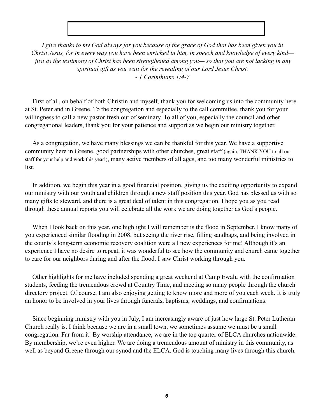*I give thanks to my God always for you because of the grace of God that has been given you in Christ Jesus, for in every way you have been enriched in him, in speech and knowledge of every kind just as the testimony of Christ has been strengthened among you— so that you are not lacking in any spiritual gift as you wait for the revealing of our Lord Jesus Christ. - 1 Corinthians 1:4-7*

First of all, on behalf of both Christin and myself, thank you for welcoming us into the community here at St. Peter and in Greene. To the congregation and especially to the call committee, thank you for your willingness to call a new pastor fresh out of seminary. To all of you, especially the council and other congregational leaders, thank you for your patience and support as we begin our ministry together.

As a congregation, we have many blessings we can be thankful for this year. We have a supportive community here in Greene, good partnerships with other churches, great staff (again, THANK YOU to all our staff for your help and work this year!), many active members of all ages, and too many wonderful ministries to list.

In addition, we begin this year in a good financial position, giving us the exciting opportunity to expand our ministry with our youth and children through a new staff position this year. God has blessed us with so many gifts to steward, and there is a great deal of talent in this congregation. I hope you as you read through these annual reports you will celebrate all the work we are doing together as God's people.

When I look back on this year, one highlight I will remember is the flood in September. I know many of you experienced similar flooding in 2008, but seeing the river rise, filling sandbags, and being involved in the county's long-term economic recovery coalition were all new experiences for me! Although it's an experience I have no desire to repeat, it was wonderful to see how the community and church came together to care for our neighbors during and after the flood. I saw Christ working through you.

Other highlights for me have included spending a great weekend at Camp Ewalu with the confirmation students, feeding the tremendous crowd at Country Time, and meeting so many people through the church directory project. Of course, I am also enjoying getting to know more and more of you each week. It is truly an honor to be involved in your lives through funerals, baptisms, weddings, and confirmations.

Since beginning ministry with you in July, I am increasingly aware of just how large St. Peter Lutheran Church really is. I think because we are in a small town, we sometimes assume we must be a small congregation. Far from it! By worship attendance, we are in the top quarter of ELCA churches nationwide. By membership, we're even higher. We are doing a tremendous amount of ministry in this community, as well as beyond Greene through our synod and the ELCA. God is touching many lives through this church.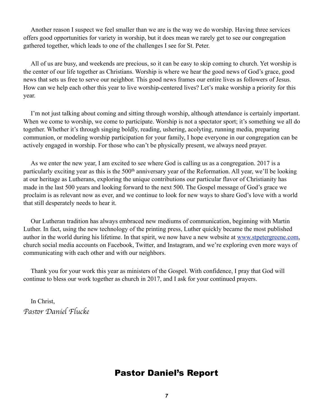Another reason I suspect we feel smaller than we are is the way we do worship. Having three services offers good opportunities for variety in worship, but it does mean we rarely get to see our congregation gathered together, which leads to one of the challenges I see for St. Peter.

All of us are busy, and weekends are precious, so it can be easy to skip coming to church. Yet worship is the center of our life together as Christians. Worship is where we hear the good news of God's grace, good news that sets us free to serve our neighbor. This good news frames our entire lives as followers of Jesus. How can we help each other this year to live worship-centered lives? Let's make worship a priority for this year.

I'm not just talking about coming and sitting through worship, although attendance is certainly important. When we come to worship, we come to participate. Worship is not a spectator sport; it's something we all do together. Whether it's through singing boldly, reading, ushering, acolyting, running media, preparing communion, or modeling worship participation for your family, I hope everyone in our congregation can be actively engaged in worship. For those who can't be physically present, we always need prayer.

As we enter the new year, I am excited to see where God is calling us as a congregation. 2017 is a particularly exciting year as this is the 500<sup>th</sup> anniversary year of the Reformation. All year, we'll be looking at our heritage as Lutherans, exploring the unique contributions our particular flavor of Christianity has made in the last 500 years and looking forward to the next 500. The Gospel message of God's grace we proclaim is as relevant now as ever, and we continue to look for new ways to share God's love with a world that still desperately needs to hear it.

Our Lutheran tradition has always embraced new mediums of communication, beginning with Martin Luther. In fact, using the new technology of the printing press, Luther quickly became the most published author in the world during his lifetime. In that spirit, we now have a new website at [www.stpetergreene.com,](http://www.stpetergreene.com) church social media accounts on Facebook, Twitter, and Instagram, and we're exploring even more ways of communicating with each other and with our neighbors.

Thank you for your work this year as ministers of the Gospel. With confidence, I pray that God will continue to bless our work together as church in 2017, and I ask for your continued prayers.

In Christ, *Pas*!*r Daniel Flucke*

## Pastor Daniel's Report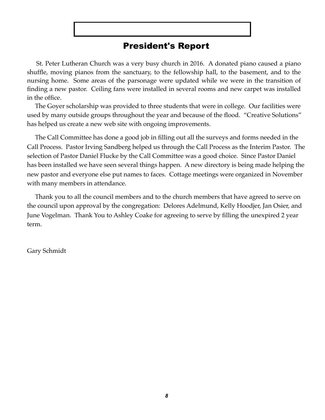# President's Report

 St. Peter Lutheran Church was a very busy church in 2016. A donated piano caused a piano shuffle, moving pianos from the sanctuary, to the fellowship hall, to the basement, and to the nursing home. Some areas of the parsonage were updated while we were in the transition of finding a new pastor. Ceiling fans were installed in several rooms and new carpet was installed in the office.

 The Goyer scholarship was provided to three students that were in college. Our facilities were used by many outside groups throughout the year and because of the flood. "Creative Solutions" has helped us create a new web site with ongoing improvements.

 The Call Committee has done a good job in filling out all the surveys and forms needed in the Call Process. Pastor Irving Sandberg helped us through the Call Process as the Interim Pastor. The selection of Pastor Daniel Flucke by the Call Committee was a good choice. Since Pastor Daniel has been installed we have seen several things happen. A new directory is being made helping the new pastor and everyone else put names to faces. Cottage meetings were organized in November with many members in attendance.

 Thank you to all the council members and to the church members that have agreed to serve on the council upon approval by the congregation: Delores Adelmund, Kelly Hoodjer, Jan Osier, and June Vogelman. Thank You to Ashley Coake for agreeing to serve by filling the unexpired 2 year term.

Gary Schmidt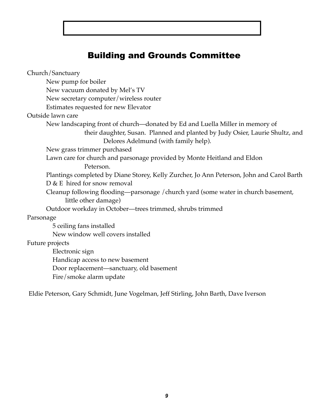# Building and Grounds Committee

Church/Sanctuary New pump for boiler New vacuum donated by Mel's TV New secretary computer/wireless router Estimates requested for new Elevator Outside lawn care New landscaping front of church—donated by Ed and Luella Miller in memory of their daughter, Susan. Planned and planted by Judy Osier, Laurie Shultz, and Delores Adelmund (with family help). New grass trimmer purchased Lawn care for church and parsonage provided by Monte Heitland and Eldon Peterson. Plantings completed by Diane Storey, Kelly Zurcher, Jo Ann Peterson, John and Carol Barth D & E hired for snow removal Cleanup following flooding—parsonage /church yard (some water in church basement, little other damage) Outdoor workday in October—trees trimmed, shrubs trimmed Parsonage 5 ceiling fans installed New window well covers installed Future projects Electronic sign Handicap access to new basement Door replacement—sanctuary, old basement

Fire/smoke alarm update

Eldie Peterson, Gary Schmidt, June Vogelman, Jeff Stirling, John Barth, Dave Iverson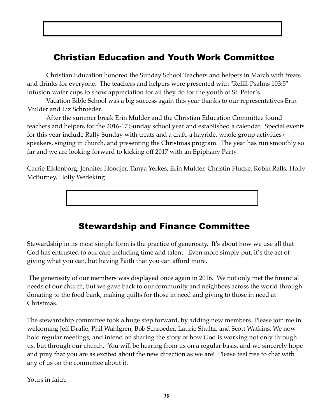# Christian Education and Youth Work Committee

Christian Education honored the Sunday School Teachers and helpers in March with treats and drinks for everyone. The teachers and helpers were presented with "Refill-Psalms 103:5" infusion water cups to show appreciation for all they do for the youth of St. Peter's.

Vacation Bible School was a big success again this year thanks to our representatives Erin Mulder and Liz Schroeder.

After the summer break Erin Mulder and the Christian Education Committee found teachers and helpers for the 2016-17 Sunday school year and established a calendar. Special events for this year include Rally Sunday with treats and a craft, a hayride, whole group activities/ speakers, singing in church, and presenting the Christmas program. The year has run smoothly so far and we are looking forward to kicking off 2017 with an Epiphany Party.

Carrie Eiklenborg, Jennifer Hoodjer, Tanya Yerkes, Erin Mulder, Christin Flucke, Robin Ralls, Holly McBurney, Holly Wedeking

# Stewardship and Finance Committee

Stewardship in its most simple form is the practice of generosity. It's about how we use all that God has entrusted to our care including time and talent. Even more simply put, it's the act of giving what you can, but having Faith that you can afford more.

 The generosity of our members was displayed once again in 2016. We not only met the financial needs of our church, but we gave back to our community and neighbors across the world through donating to the food bank, making quilts for those in need and giving to those in need at Christmas.

The stewardship committee took a huge step forward, by adding new members. Please join me in welcoming Jeff Dralle, Phil Wahlgren, Bob Schroeder, Laurie Shultz, and Scott Watkins. We now hold regular meetings, and intend on sharing the story of how God is working not only through us, but through our church. You will be hearing from us on a regular basis, and we sincerely hope and pray that you are as excited about the new direction as we are! Please feel free to chat with any of us on the committee about it.

Yours in faith,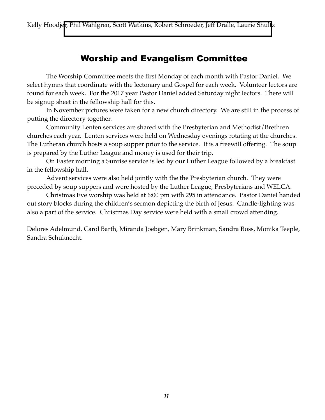Kelly Hoodjer, Phil Wahlgren, Scott Watkins, Robert Schroeder, Jeff Dralle, Laurie Shullz

## Worship and Evangelism Committee

The Worship Committee meets the first Monday of each month with Pastor Daniel. We select hymns that coordinate with the lectonary and Gospel for each week. Volunteer lectors are found for each week. For the 2017 year Pastor Daniel added Saturday night lectors. There will be signup sheet in the fellowship hall for this.

In November pictures were taken for a new church directory. We are still in the process of putting the directory together.

Community Lenten services are shared with the Presbyterian and Methodist/Brethren churches each year. Lenten services were held on Wednesday evenings rotating at the churches. The Lutheran church hosts a soup supper prior to the service. It is a freewill offering. The soup is prepared by the Luther League and money is used for their trip.

On Easter morning a Sunrise service is led by our Luther League followed by a breakfast in the fellowship hall.

Advent services were also held jointly with the the Presbyterian church. They were preceded by soup suppers and were hosted by the Luther League, Presbyterians and WELCA.

Christmas Eve worship was held at 6:00 pm with 295 in attendance. Pastor Daniel handed out story blocks during the children's sermon depicting the birth of Jesus. Candle-lighting was also a part of the service. Christmas Day service were held with a small crowd attending.

Delores Adelmund, Carol Barth, Miranda Joebgen, Mary Brinkman, Sandra Ross, Monika Teeple, Sandra Schuknecht.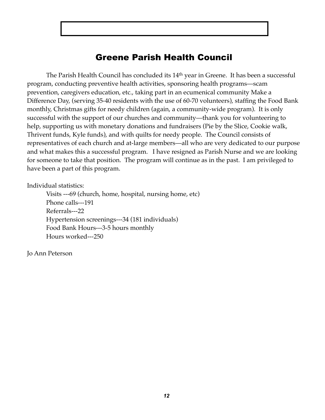# Greene Parish Health Council

 The Parish Health Council has concluded its 14th year in Greene. It has been a successful program, conducting preventive health activities, sponsoring health programs—scam prevention, caregivers education, etc., taking part in an ecumenical community Make a Difference Day, (serving 35-40 residents with the use of 60-70 volunteers), staffing the Food Bank monthly, Christmas gifts for needy children (again, a community-wide program). It is only successful with the support of our churches and community—thank you for volunteering to help, supporting us with monetary donations and fundraisers (Pie by the Slice, Cookie walk, Thrivent funds, Kyle funds), and with quilts for needy people. The Council consists of representatives of each church and at-large members—all who are very dedicated to our purpose and what makes this a successful program. I have resigned as Parish Nurse and we are looking for someone to take that position. The program will continue as in the past. I am privileged to have been a part of this program.

Individual statistics:

Visits ---69 (church, home, hospital, nursing home, etc) Phone calls---191 Referrals---22 Hypertension screenings---34 (181 individuals) Food Bank Hours---3-5 hours monthly Hours worked---250

Jo Ann Peterson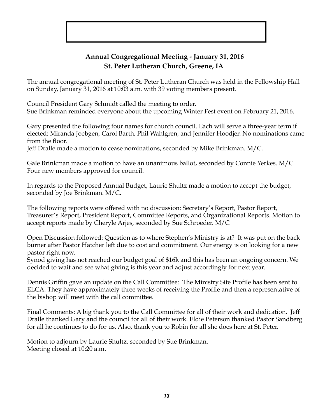## **Annual Congregational Meeting - January 31, 2016 St. Peter Lutheran Church, Greene, IA**

The annual congregational meeting of St. Peter Lutheran Church was held in the Fellowship Hall on Sunday, January 31, 2016 at 10:03 a.m. with 39 voting members present.

Council President Gary Schmidt called the meeting to order. Sue Brinkman reminded everyone about the upcoming Winter Fest event on February 21, 2016.

Gary presented the following four names for church council. Each will serve a three-year term if elected: Miranda Joebgen, Carol Barth, Phil Wahlgren, and Jennifer Hoodjer. No nominations came from the floor.

Jeff Dralle made a motion to cease nominations, seconded by Mike Brinkman. M/C.

Gale Brinkman made a motion to have an unanimous ballot, seconded by Connie Yerkes. M/C. Four new members approved for council.

In regards to the Proposed Annual Budget, Laurie Shultz made a motion to accept the budget, seconded by Joe Brinkman. M/C.

The following reports were offered with no discussion: Secretary's Report, Pastor Report, Treasurer's Report, President Report, Committee Reports, and Organizational Reports. Motion to accept reports made by Cheryle Arjes, seconded by Sue Schroeder. M/C

Open Discussion followed: Question as to where Stephen's Ministry is at? It was put on the back burner after Pastor Hatcher left due to cost and commitment. Our energy is on looking for a new pastor right now.

Synod giving has not reached our budget goal of \$16k and this has been an ongoing concern. We decided to wait and see what giving is this year and adjust accordingly for next year.

Dennis Griffin gave an update on the Call Committee: The Ministry Site Profile has been sent to ELCA. They have approximately three weeks of receiving the Profile and then a representative of the bishop will meet with the call committee.

Final Comments: A big thank you to the Call Committee for all of their work and dedication. Jeff Dralle thanked Gary and the council for all of their work. Eldie Peterson thanked Pastor Sandberg for all he continues to do for us. Also, thank you to Robin for all she does here at St. Peter.

Motion to adjourn by Laurie Shultz, seconded by Sue Brinkman. Meeting closed at 10:20 a.m.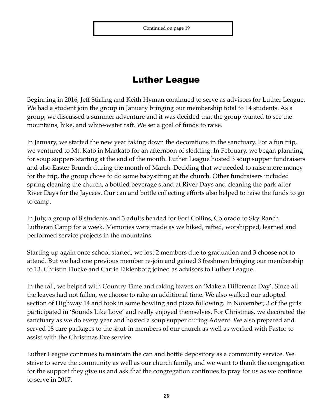# Luther League

Beginning in 2016, Jeff Stirling and Keith Hyman continued to serve as advisors for Luther League. We had a student join the group in January bringing our membership total to 14 students. As a group, we discussed a summer adventure and it was decided that the group wanted to see the mountains, hike, and white-water raft. We set a goal of funds to raise.

In January, we started the new year taking down the decorations in the sanctuary. For a fun trip, we ventured to Mt. Kato in Mankato for an afternoon of sledding. In February, we began planning for soup suppers starting at the end of the month. Luther League hosted 3 soup supper fundraisers and also Easter Brunch during the month of March. Deciding that we needed to raise more money for the trip, the group chose to do some babysitting at the church. Other fundraisers included spring cleaning the church, a bottled beverage stand at River Days and cleaning the park after River Days for the Jaycees. Our can and bottle collecting efforts also helped to raise the funds to go to camp.

In July, a group of 8 students and 3 adults headed for Fort Collins, Colorado to Sky Ranch Lutheran Camp for a week. Memories were made as we hiked, rafted, worshipped, learned and performed service projects in the mountains.

Starting up again once school started, we lost 2 members due to graduation and 3 choose not to attend. But we had one previous member re-join and gained 3 freshmen bringing our membership to 13. Christin Flucke and Carrie Eiklenborg joined as advisors to Luther League.

In the fall, we helped with Country Time and raking leaves on 'Make a Difference Day'. Since all the leaves had not fallen, we choose to rake an additional time. We also walked our adopted section of Highway 14 and took in some bowling and pizza following. In November, 3 of the girls participated in 'Sounds Like Love' and really enjoyed themselves. For Christmas, we decorated the sanctuary as we do every year and hosted a soup supper during Advent. We also prepared and served 18 care packages to the shut-in members of our church as well as worked with Pastor to assist with the Christmas Eve service.

Luther League continues to maintain the can and bottle depository as a community service. We strive to serve the community as well as our church family, and we want to thank the congregation for the support they give us and ask that the congregation continues to pray for us as we continue to serve in 2017.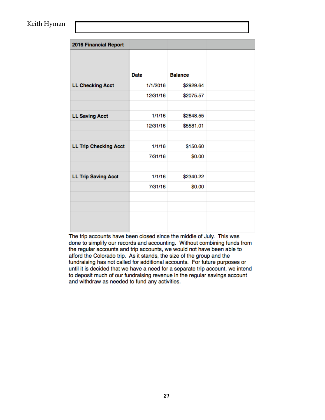### Keith Hyman

| 2016 Financial Report        |             |                |  |
|------------------------------|-------------|----------------|--|
|                              |             |                |  |
|                              |             |                |  |
|                              | <b>Date</b> | <b>Balance</b> |  |
| <b>LL Checking Acct</b>      | 1/1/2016    | \$2929.64      |  |
|                              | 12/31/16    | \$2075.57      |  |
|                              |             |                |  |
| <b>LL Saving Acct</b>        | 1/1/16      | \$2648.55      |  |
|                              | 12/31/16    | \$5581.01      |  |
|                              |             |                |  |
| <b>LL Trip Checking Acct</b> | 1/1/16      | \$150.60       |  |
|                              | 7/31/16     | \$0.00         |  |
|                              |             |                |  |
| <b>LL Trip Saving Acct</b>   | 1/1/16      | \$2340.22      |  |
|                              | 7/31/16     | \$0.00         |  |
|                              |             |                |  |
|                              |             |                |  |
|                              |             |                |  |
|                              |             |                |  |

The trip accounts have been closed since the middle of July. This was done to simplify our records and accounting. Without combining funds from the regular accounts and trip accounts, we would not have been able to afford the Colorado trip. As it stands, the size of the group and the fundraising has not called for additional accounts. For future purposes or until it is decided that we have a need for a separate trip account, we intend to deposit much of our fundraising revenue in the regular savings account and withdraw as needed to fund any activities.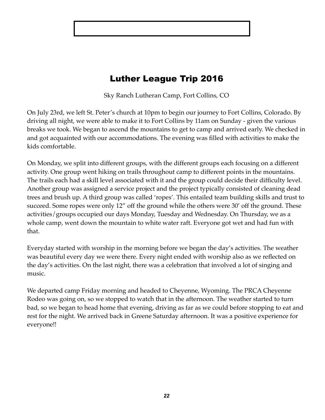# Luther League Trip 2016

Sky Ranch Lutheran Camp, Fort Collins, CO

On July 23rd, we left St. Peter's church at 10pm to begin our journey to Fort Collins, Colorado. By driving all night, we were able to make it to Fort Collins by 11am on Sunday - given the various breaks we took. We began to ascend the mountains to get to camp and arrived early. We checked in and got acquainted with our accommodations. The evening was filled with activities to make the kids comfortable.

On Monday, we split into different groups, with the different groups each focusing on a different activity. One group went hiking on trails throughout camp to different points in the mountains. The trails each had a skill level associated with it and the group could decide their difficulty level. Another group was assigned a service project and the project typically consisted of cleaning dead trees and brush up. A third group was called 'ropes'. This entailed team building skills and trust to succeed. Some ropes were only 12" off the ground while the others were 30' off the ground. These activities/groups occupied our days Monday, Tuesday and Wednesday. On Thursday, we as a whole camp, went down the mountain to white water raft. Everyone got wet and had fun with that.

Everyday started with worship in the morning before we began the day's activities. The weather was beautiful every day we were there. Every night ended with worship also as we reflected on the day's activities. On the last night, there was a celebration that involved a lot of singing and music.

We departed camp Friday morning and headed to Cheyenne, Wyoming. The PRCA Cheyenne Rodeo was going on, so we stopped to watch that in the afternoon. The weather started to turn bad, so we began to head home that evening, driving as far as we could before stopping to eat and rest for the night. We arrived back in Greene Saturday afternoon. It was a positive experience for everyone!!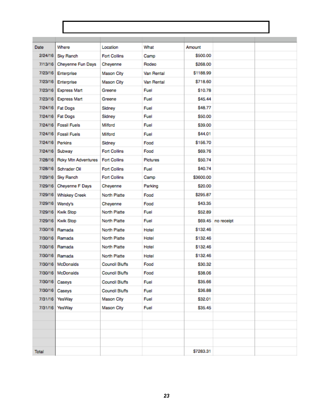| <b>Date</b> | Where                | Location              | What       | Amount    |                    |  |
|-------------|----------------------|-----------------------|------------|-----------|--------------------|--|
| 2/24/16     | Sky Ranch            | <b>Fort Collins</b>   | Camp       | \$500.00  |                    |  |
| 7/13/16     | Cheyenne Fun Days    | Cheyenne              | Rodeo      | \$268.00  |                    |  |
| 7/23/16     | Enterprise           | <b>Mason City</b>     | Van Rental | \$1188.99 |                    |  |
| 7/23/16     | Enterprise           | <b>Mason City</b>     | Van Rental | \$718.60  |                    |  |
| 7/23/16     | <b>Express Mart</b>  | Greene                | Fuel       | \$10.78   |                    |  |
| 7/23/16     | <b>Express Mart</b>  | Greene                | Fuel       | S45.44    |                    |  |
| 7/24/16     | <b>Fat Dogs</b>      | Sidney                | Fuel       | \$48.77   |                    |  |
| 7/24/16     | <b>Fat Dogs</b>      | Sidney                | Fuel       | \$50.00   |                    |  |
| 7/24/16     | <b>Fossil Fuels</b>  | Milford               | Fuel       | \$39.00   |                    |  |
| 7/24/16     | <b>Fossil Fuels</b>  | Milford               | Fuel       | S44.01    |                    |  |
| 7/24/16     | Perkins              | Sidney                | Food       | \$156.70  |                    |  |
| 7/24/16     | Subway               | <b>Fort Collins</b>   | Food       | S69.76    |                    |  |
| 7/28/16     | Roky Mtn Adventures  | <b>Fort Collins</b>   | Pictures   | S50.74    |                    |  |
| 7/28/16     | Schrader Oil         | <b>Fort Collins</b>   | Fuel       | S40.74    |                    |  |
| 7/29/16     | Sky Ranch            | <b>Fort Collins</b>   | Camp       | \$3600.00 |                    |  |
| 7/29/16     | Cheyenne F Days      | Cheyenne              | Parking    | \$20.00   |                    |  |
| 7/29/16     | <b>Whiskey Creek</b> | North Platte          | Food       | \$295.87  |                    |  |
| 7/29/16     | Wendy's              | Cheyenne              | Food       | \$43.35   |                    |  |
| 7/29/16     | <b>Kwik Stop</b>     | North Platte          | Fuel       | \$52.89   |                    |  |
| 7/29/16     | <b>Kwik Stop</b>     | North Platte          | Fuel       |           | \$69.45 no receipt |  |
| 7/30/16     | Ramada               | North Platte          | Hotel      | \$132.46  |                    |  |
| 7/30/16     | Ramada               | North Platte          | Hotel      | \$132.46  |                    |  |
| 7/30/16     | Ramada               | North Platte          | Hotel      | \$132.46  |                    |  |
| 7/30/16     | Ramada               | North Platte          | Hotel      | \$132.46  |                    |  |
| 7/30/16     | McDonalds            | <b>Council Bluffs</b> | Food       | \$30.32   |                    |  |
| 7/30/16     | McDonalds            | <b>Council Bluffs</b> | Food       | \$38.06   |                    |  |
| 7/30/16     | Caseys               | <b>Council Bluffs</b> | Fuel       | \$35.66   |                    |  |
| 7/30/16     | Caseys               | <b>Council Bluffs</b> | Fuel       | \$36.88   |                    |  |
| 7/31/16     | YesWay               | Mason City            | Fuel       | \$32.01   |                    |  |
| 7/31/16     | YesWay               | <b>Mason City</b>     | Fuel       | \$35.45   |                    |  |
|             |                      |                       |            |           |                    |  |
|             |                      |                       |            |           |                    |  |
|             |                      |                       |            |           |                    |  |
|             |                      |                       |            |           |                    |  |
| Total       |                      |                       |            | \$7283.31 |                    |  |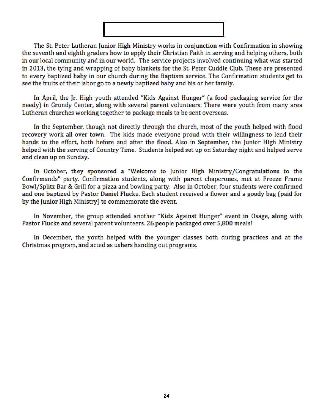The St. Peter Lutheran Junior High Ministry works in conjunction with Confirmation in showing the seventh and eighth graders how to apply their Christian Faith in serving and helping others, both in our local community and in our world. The service projects involved continuing what was started in 2013, the tving and wrapping of baby blankets for the St. Peter Cuddle Club. These are presented to every baptized baby in our church during the Baptism service. The Confirmation students get to see the fruits of their labor go to a newly baptized baby and his or her family.

In April, the Jr. High youth attended "Kids Against Hunger" (a food packaging service for the needy) in Grundy Center, along with several parent volunteers. There were youth from many area Lutheran churches working together to package meals to be sent overseas.

In the September, though not directly through the church, most of the youth helped with flood recovery work all over town. The kids made everyone proud with their willingness to lend their hands to the effort, both before and after the flood. Also in September, the Junior High Ministry helped with the serving of Country Time. Students helped set up on Saturday night and helped serve and clean up on Sunday.

In October, they sponsored a "Welcome to Junior High Ministry/Congratulations to the Confirmands" party. Confirmation students, along with parent chaperones, met at Freeze Frame Bowl/Splitz Bar & Grill for a pizza and bowling party. Also in October, four students were confirmed and one baptized by Pastor Daniel Flucke. Each student received a flower and a goody bag (paid for by the Junior High Ministry) to commemorate the event.

In November, the group attended another "Kids Against Hunger" event in Osage, along with Pastor Flucke and several parent volunteers. 26 people packaged over 5,800 meals!

In December, the youth helped with the younger classes both during practices and at the Christmas program, and acted as ushers handing out programs.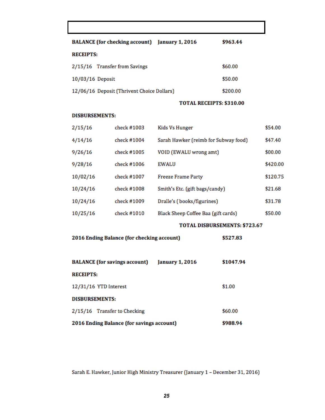| BALANCE (for checking account) January 1, 2016 | \$963.44 |
|------------------------------------------------|----------|
| <b>RECEIPTS:</b>                               |          |
| 2/15/16 Transfer from Savings                  | \$60.00  |
| 10/03/16 Deposit                               | \$50.00  |
| 12/06/16 Deposit (Thrivent Choice Dollars)     | \$200.00 |

#### TOTAL RECEIPTS: \$310.00

#### **DISBURSEMENTS:**

| 2/15/16  | check #1003 | Kids Vs Hunger                       | \$54.00  |
|----------|-------------|--------------------------------------|----------|
| 4/14/16  | check #1004 | Sarah Hawker (reimb for Subway food) | \$47.40  |
| 9/26/16  | check #1005 | VOID (EWALU wrong amt)               | \$00.00  |
| 9/28/16  | check #1006 | <b>EWALU</b>                         | \$420.00 |
| 10/02/16 | check #1007 | <b>Freeze Frame Party</b>            | \$120.75 |
| 10/24/16 | check #1008 | Smith's Etc. (gift bags/candy)       | \$21.68  |
| 10/24/16 | check #1009 | Dralle's (books/figurines)           | \$31.78  |
| 10/25/16 | check #1010 | Black Sheep Coffee Baa (gift cards)  | \$50.00  |
|          |             |                                      |          |

### TOTAL DISBURSEMENTS: \$723.67

| 2016 Ending Balance (for checking account) | \$527.83 |
|--------------------------------------------|----------|
|--------------------------------------------|----------|

| <b>BALANCE</b> (for savings account)      | <b>January 1, 2016</b> | \$1047.94 |
|-------------------------------------------|------------------------|-----------|
| <b>RECEIPTS:</b>                          |                        |           |
| 12/31/16 YTD Interest                     |                        | \$1.00    |
| <b>DISBURSEMENTS:</b>                     |                        |           |
| 2/15/16 Transfer to Checking              |                        | \$60.00   |
| 2016 Ending Balance (for savings account) |                        | \$988.94  |

Sarah E. Hawker, Junior High Ministry Treasurer (January 1 - December 31, 2016)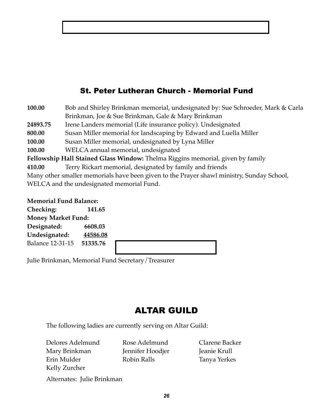## St. Peter Lutheran Church - Memorial Fund

| 100.00   | Bob and Shirley Brinkman memorial, undesignated by: Sue Schroeder, Mark & Carla           |
|----------|-------------------------------------------------------------------------------------------|
|          | Brinkman, Joe & Sue Brinkman, Gale & Mary Brinkman                                        |
| 24893.75 | Irene Landers memorial (Life insurance policy). Undesignated                              |
| 800.00   | Susan Miller memorial for landscaping by Edward and Luella Miller                         |
| 100.00   | Susan Miller memorial, undesignated by Lyna Miller                                        |
| 100.00   | WELCA annual memorial, undesignated                                                       |
|          | Fellowship Hall Stained Glass Window: Thelma Riggins memorial, given by family            |
| 410.00   | Terry Rickart memorial, designated by family and friends                                  |
|          | Many other smaller memorials have been given to the Prayer shawl ministry, Sunday School, |
|          | WELCA and the undesignated memorial Fund.                                                 |

**Memorial Fund Balance:**

**Checking: 141.65 Money Market Fund: Designated: 6608.03 Undesignated: 44586.08** Balance 12-31-15 **51335.76**

Julie Brinkman, Memorial Fund Secretary/Treasurer

# ALTAR GUILD

The following ladies are currently serving on Altar Guild:

Delores Adelmund Rose Adelmund Clarene Backer Mary Brinkman Jennifer Hoodjer Jeanie Krull Erin Mulder **Robin Ralls** Tanya Yerkes Kelly Zurcher

Alternates: Julie Brinkman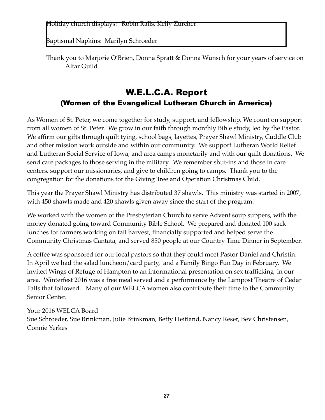Holiday church displays: Robin Ralls, Kelly Zurcher

Baptismal Napkins: Marilyn Schroeder

Thank you to Marjorie O'Brien, Donna Spratt & Donna Wunsch for your years of service on Altar Guild

# W.E.L.C.A. Report (Women of the Evangelical Lutheran Church in America)

As Women of St. Peter, we come together for study, support, and fellowship. We count on support from all women of St. Peter. We grow in our faith through monthly Bible study, led by the Pastor. We affirm our gifts through quilt tying, school bags, layettes, Prayer Shawl Ministry, Cuddle Club and other mission work outside and within our community. We support Lutheran World Relief and Lutheran Social Service of Iowa, and area camps monetarily and with our quilt donations. We send care packages to those serving in the military. We remember shut-ins and those in care centers, support our missionaries, and give to children going to camps. Thank you to the congregation for the donations for the Giving Tree and Operation Christmas Child.

This year the Prayer Shawl Ministry has distributed 37 shawls. This ministry was started in 2007, with 450 shawls made and 420 shawls given away since the start of the program.

We worked with the women of the Presbyterian Church to serve Advent soup suppers, with the money donated going toward Community Bible School. We prepared and donated 100 sack lunches for farmers working on fall harvest, financially supported and helped serve the Community Christmas Cantata, and served 850 people at our Country Time Dinner in September.

A coffee was sponsored for our local pastors so that they could meet Pastor Daniel and Christin. In April we had the salad luncheon/card party, and a Family Bingo Fun Day in February. We invited Wings of Refuge of Hampton to an informational presentation on sex trafficking in our area. Winterfest 2016 was a free meal served and a performance by the Lampost Theatre of Cedar Falls that followed. Many of our WELCA women also contribute their time to the Community Senior Center.

### Your 2016 WELCA Board

Sue Schroeder, Sue Brinkman, Julie Brinkman, Betty Heitland, Nancy Reser, Bev Christensen, Connie Yerkes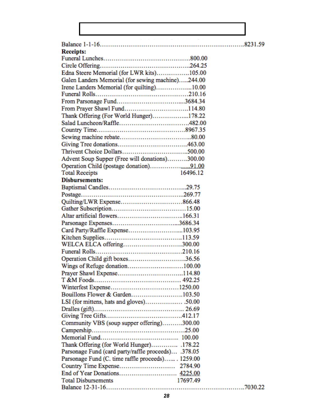| <b>Receipts:</b>                                    |          |         |
|-----------------------------------------------------|----------|---------|
|                                                     |          |         |
|                                                     |          |         |
| Edna Steere Memorial (for LWR kits)105.00           |          |         |
| Galen Landers Memorial (for sewing machine)244.00   |          |         |
| Irene Landers Memorial (for quilting)10.00          |          |         |
|                                                     |          |         |
|                                                     |          |         |
|                                                     |          |         |
| Thank Offering (For World Hunger)178.22             |          |         |
|                                                     |          |         |
|                                                     |          |         |
|                                                     |          |         |
|                                                     |          |         |
|                                                     |          |         |
| Advent Soup Supper (Free will donations)300.00      |          |         |
|                                                     |          |         |
| <b>Total Receipts</b>                               | 16496.12 |         |
| <b>Disbursements:</b>                               |          |         |
|                                                     |          |         |
|                                                     |          |         |
|                                                     |          |         |
|                                                     |          |         |
|                                                     |          |         |
|                                                     |          |         |
| Card Party/Raffle Expense103.95                     |          |         |
|                                                     |          |         |
| WELCA ELCA offering300.00                           |          |         |
|                                                     |          |         |
| Operation Child gift boxes36.56                     |          |         |
| Wings of Refuge donation100.00                      |          |         |
|                                                     |          |         |
|                                                     |          |         |
|                                                     |          |         |
| Bouillons Flower & Garden103.50                     |          |         |
|                                                     |          |         |
|                                                     |          |         |
|                                                     |          |         |
| Community VBS (soup supper offering)300.00          |          |         |
|                                                     |          |         |
|                                                     |          |         |
| Thank Offering (for World Hunger) .178.22           |          |         |
| Parsonage Fund (card party/raffle proceeds) .378.05 |          |         |
| Parsonage Fund (C. time raffle proceeds) 1259.00    |          |         |
|                                                     |          |         |
| End of Year Donations 4225.00                       |          |         |
| <b>Total Disbursements</b>                          | 17697.49 |         |
|                                                     |          | 7030.22 |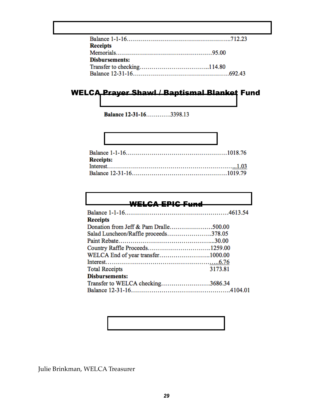| <b>Receipts</b>       |  |
|-----------------------|--|
|                       |  |
| <b>Disbursements:</b> |  |
|                       |  |
|                       |  |

# WELCA Prayer Shawl / Baptismal Blanket Fund

Balance 12-31-16.............3398.13

Г

| <u> 1989 - Jan Sterling von Berling von Berling von Berling von Berling von Berling von Berling von Berling von B</u> |  |
|-----------------------------------------------------------------------------------------------------------------------|--|
|                                                                                                                       |  |
| <b>Receipts:</b>                                                                                                      |  |
|                                                                                                                       |  |
|                                                                                                                       |  |

### WELCA EPIC Fund

| Salad Luncheon/Raffle proceeds378.05 |  |
|--------------------------------------|--|
|                                      |  |
|                                      |  |
| WELCA End of year transfer1000.00    |  |
|                                      |  |
| 3173.81                              |  |
|                                      |  |
| Transfer to WELCA checking3686.34    |  |
|                                      |  |
|                                      |  |

Julie Brinkman, WELCA Treasurer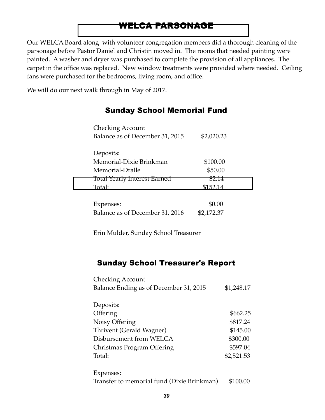## WELCA PARSONAGE

Our WELCA Board along with volunteer congregation members did a thorough cleaning of the parsonage before Pastor Daniel and Christin moved in. The rooms that needed painting were painted. A washer and dryer was purchased to complete the provision of all appliances. The carpet in the office was replaced. New window treatments were provided where needed. Ceiling fans were purchased for the bedrooms, living room, and office.

We will do our next walk through in May of 2017.

| <b>Checking Account</b><br>Balance as of December 31, 2015 | \$2,020.23 |
|------------------------------------------------------------|------------|
| Deposits:                                                  |            |
| Memorial-Dixie Brinkman                                    | \$100.00   |
| Memorial-Dralle                                            | \$50.00    |
| Total Yearly Interest Earned                               | 52.14      |
| Total:                                                     | \$152.14   |
| nses:                                                      |            |

Balance as of December 31, 2016 \$2,172.37

## Sunday School Memorial Fund

Erin Mulder, Sunday School Treasurer

## Sunday School Treasurer's Report

| <b>Checking Account</b><br>Balance Ending as of December 31, 2015 | \$1,248.17 |
|-------------------------------------------------------------------|------------|
|                                                                   |            |
| Deposits:                                                         |            |
| Offering                                                          | \$662.25   |
| Noisy Offering                                                    | \$817.24   |
| Thrivent (Gerald Wagner)                                          | \$145.00   |
| Disbursement from WELCA                                           | \$300.00   |
| Christmas Program Offering                                        | \$597.04   |
| Total:                                                            | \$2,521.53 |
| Expenses:                                                         |            |

Transfer to memorial fund (Dixie Brinkman) \$100.00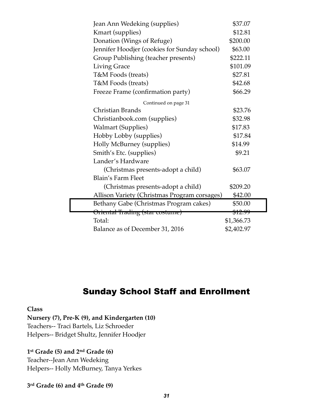| Jean Ann Wedeking (supplies)                 | \$37.07    |  |
|----------------------------------------------|------------|--|
| Kmart (supplies)                             | \$12.81    |  |
| Donation (Wings of Refuge)                   | \$200.00   |  |
| Jennifer Hoodjer (cookies for Sunday school) | \$63.00    |  |
| Group Publishing (teacher presents)          | \$222.11   |  |
| <b>Living Grace</b>                          | \$101.09   |  |
| T&M Foods (treats)                           | \$27.81    |  |
| T&M Foods (treats)                           | \$42.68    |  |
| Freeze Frame (confirmation party)            | \$66.29    |  |
| Continued on page 31                         |            |  |
| Christian Brands                             | \$23.76    |  |
| Christianbook.com (supplies)                 | \$32.98    |  |
| <b>Walmart (Supplies)</b>                    | \$17.83    |  |
| Hobby Lobby (supplies)                       | \$17.84    |  |
| Holly McBurney (supplies)                    | \$14.99    |  |
| Smith's Etc. (supplies)                      | \$9.21     |  |
| Lander's Hardware                            |            |  |
| (Christmas presents-adopt a child)           | \$63.07    |  |
| <b>Blain's Farm Fleet</b>                    |            |  |
| (Christmas presents-adopt a child)           | \$209.20   |  |
| Allison Variety (Christmas Program corsages) | \$42.00    |  |
| Bethany Gabe (Christmas Program cakes)       | \$50.00    |  |
| <del>Oriental Trading (star costume)</del>   | \$12.99    |  |
| Total:                                       | \$1,366.73 |  |
| Balance as of December 31, 2016              | \$2,402.97 |  |

# Sunday School Staff and Enrollment

**Class**

**Nursery (7), Pre-K (9), and Kindergarten (10)** Teachers-- Traci Bartels, Liz Schroeder Helpers-- Bridget Shultz, Jennifer Hoodjer

## **1st Grade (5) and 2nd Grade (6)**

Teacher--Jean Ann Wedeking Helpers-- Holly McBurney, Tanya Yerkes

**3rd Grade (6) and 4th Grade (9)**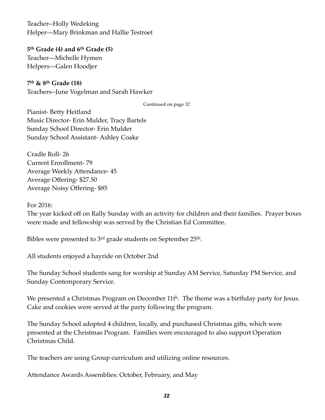Teacher--Holly Wedeking Helper—Mary Brinkman and Hallie Testroet

**5th Grade (4) and 6th Grade (5)** Teacher—Michelle Hymen Helpers—Galen Hoodjer

**7th & 8th Grade (18)**  Teachers--June Vogelman and Sarah Hawker

Continued on page 32

Pianist- Betty Heitland Music Director- Erin Mulder, Tracy Bartels Sunday School Director- Erin Mulder Sunday School Assistant- Ashley Coake

Cradle Roll- 26 Current Enrollment- 79 Average Weekly Attendance- 45 Average Offering- \$27.50 Average Noisy Offering- \$85

For 2016:

The year kicked off on Rally Sunday with an activity for children and their families. Prayer boxes were made and fellowship was served by the Christian Ed Committee.

Bibles were presented to 3<sup>rd</sup> grade students on September 25<sup>th</sup>.

All students enjoyed a hayride on October 2nd

The Sunday School students sang for worship at Sunday AM Service, Saturday PM Service, and Sunday Contemporary Service.

We presented a Christmas Program on December  $11t<sup>h</sup>$ . The theme was a birthday party for Jesus. Cake and cookies were served at the party following the program.

The Sunday School adopted 4 children, locally, and purchased Christmas gifts, which were presented at the Christmas Program. Families were encouraged to also support Operation Christmas Child.

The teachers are using Group curriculum and utilizing online resources.

Attendance Awards Assemblies: October, February, and May